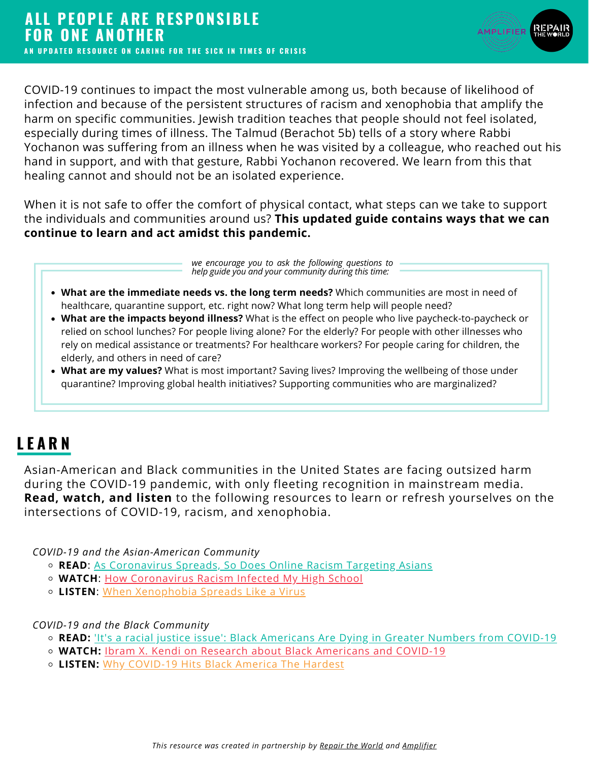

COVID-19 continues to impact the most vulnerable among us, both because of likelihood of infection and because of the persistent structures of racism and xenophobia that amplify the harm on specific communities. Jewish tradition teaches that people should not feel isolated, especially during times of illness. The Talmud (Berachot 5b) tells of a story where Rabbi Yochanon was suffering from an illness when he was visited by a colleague, who reached out his hand in support, and with that gesture, Rabbi Yochanon recovered. We learn from this that healing cannot and should not be an isolated experience.

When it is not safe to offer the comfort of physical contact, what steps can we take to support the individuals and communities around us? **This updated guide contains ways that we can continue to learn and act amidst this pandemic.**

> *we encourage you to ask the following questions to help guide you and your community during this time:*

- **What are the immediate needs vs. the long term needs?** Which communities are most in need of healthcare, quarantine support, etc. right now? What long term help will people need?
- **What are the impacts beyond illness?** What is the effect on people who live paycheck-to-paycheck or relied on school lunches? For people living alone? For the elderly? For people with other illnesses who rely on medical assistance or treatments? For healthcare workers? For people caring for children, the elderly, and others in need of care?
- **What are my values?** What is most important? Saving lives? Improving the wellbeing of those under quarantine? Improving global health initiatives? Supporting communities who are marginalized?

## **L E A R N**

Asian-American and Black communities in the United States are facing outsized harm during the COVID-19 pandemic, with only fleeting recognition in mainstream media. **Read, watch, and listen** to the following resources to learn or refresh yourselves on the intersections of COVID-19, racism, and xenophobia.

*COVID-19 and the [Asian-American](https://www.teenvogue.com/story/coronavirus-anti-chinese-racism) Community*

- **[READ](https://www.teenvogue.com/story/coronavirus-anti-chinese-racism)**[:](https://www.teenvogue.com/story/coronavirus-anti-chinese-racism) As [Coronavirus](https://www.washingtonpost.com/technology/2020/04/08/coronavirus-spreads-so-does-online-racism-targeting-asians-new-research-shows/) Spreads, So Does Online Racism Targeting Asians
- **[WATCH](https://www.teenvogue.com/story/coronavirus-anti-chinese-racism)**[:](https://www.teenvogue.com/story/coronavirus-anti-chinese-racism) How [Coronavirus](https://www.youtube.com/watch?v=f5ccbJcqlUo) Racism Infected My High School
- **[LISTEN](https://www.teenvogue.com/story/coronavirus-anti-chinese-racism)**[:](https://www.teenvogue.com/story/coronavirus-anti-chinese-racism) When [Xenophobia](https://www.npr.org/2020/03/02/811363404/when-xenophobia-spreads-like-a-virus) Spreads Like a Virus

*COVID-19 and the Black [Community](https://www.teenvogue.com/story/coronavirus-anti-chinese-racism)*

- **[READ:](https://www.teenvogue.com/story/coronavirus-anti-chinese-racism)** 'It's a racial justice issue': Black [Americans](https://www.theguardian.com/world/2020/apr/08/its-a-racial-justice-issue-black-americans-are-dying-in-greater-numbers-from-covid-19) Are Dying in Greater Nu[m](https://www.teenvogue.com/story/coronavirus-anti-chinese-racism)bers from COVID-19
- **[WATCH:](https://www.teenvogue.com/story/coronavirus-anti-chinese-racism)** Ibram X. Kendi on Research about Black [Americans](https://www.youtube.com/watch?v=9Zs_-CSbcJQ) and COVID-19
- **[LISTEN:](https://www.teenvogue.com/story/coronavirus-anti-chinese-racism)** Why [COVID-19](https://slate.com/podcasts/what-next/2020/04/black-people-coronavirus-at-risk) Hits Black America The Hardest